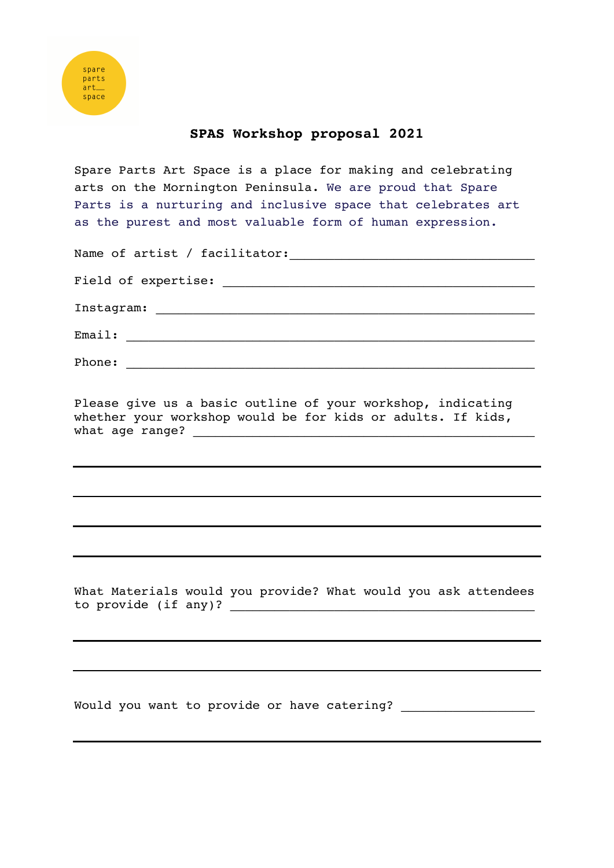## **SPAS Workshop proposal 2021**

Spare Parts Art Space is a place for making and celebrating arts on the Mornington Peninsula. We are proud that Spare Parts is a nurturing and inclusive space that celebrates art as the purest and most valuable form of human expression.

| Name of artist / facilitator: |
|-------------------------------|
|                               |
|                               |
| Email:                        |
| Phone:                        |

Please give us a basic outline of your workshop, indicating whether your workshop would be for kids or adults. If kids, what age range?

What Materials would you provide? What would you ask attendees to provide (if any)?  $\qquad \qquad$ 

Would you want to provide or have catering? \_\_\_\_\_\_\_\_\_\_\_\_\_\_\_\_\_\_